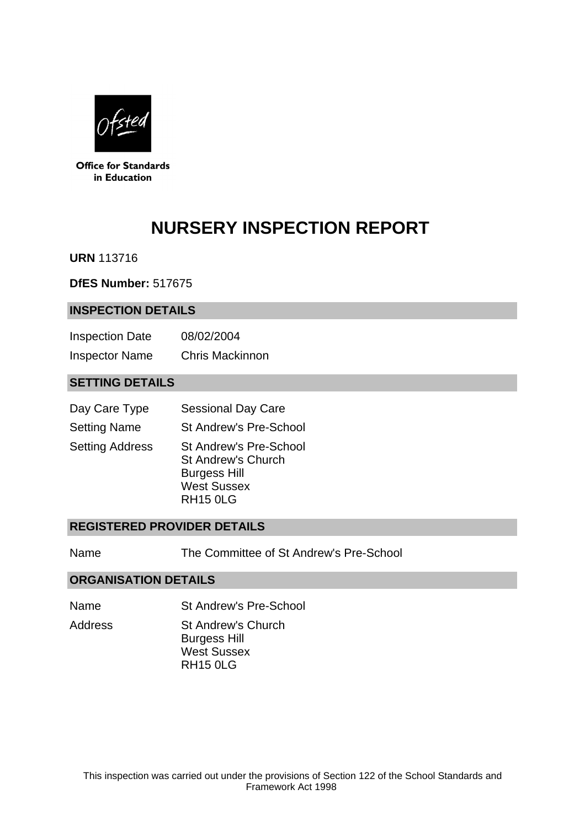

**Office for Standards** in Education

# **NURSERY INSPECTION REPORT**

**URN** 113716

**DfES Number:** 517675

#### **INSPECTION DETAILS**

| <b>Inspection Date</b> | 08/02/2004             |
|------------------------|------------------------|
| <b>Inspector Name</b>  | <b>Chris Mackinnon</b> |

# **SETTING DETAILS**

| Day Care Type          | <b>Sessional Day Care</b>                                                                                                  |
|------------------------|----------------------------------------------------------------------------------------------------------------------------|
| <b>Setting Name</b>    | <b>St Andrew's Pre-School</b>                                                                                              |
| <b>Setting Address</b> | <b>St Andrew's Pre-School</b><br><b>St Andrew's Church</b><br><b>Burgess Hill</b><br><b>West Sussex</b><br><b>RH15 0LG</b> |

#### **REGISTERED PROVIDER DETAILS**

Name The Committee of St Andrew's Pre-School

#### **ORGANISATION DETAILS**

- Name St Andrew's Pre-School
- Address St Andrew's Church Burgess Hill West Sussex RH15 0LG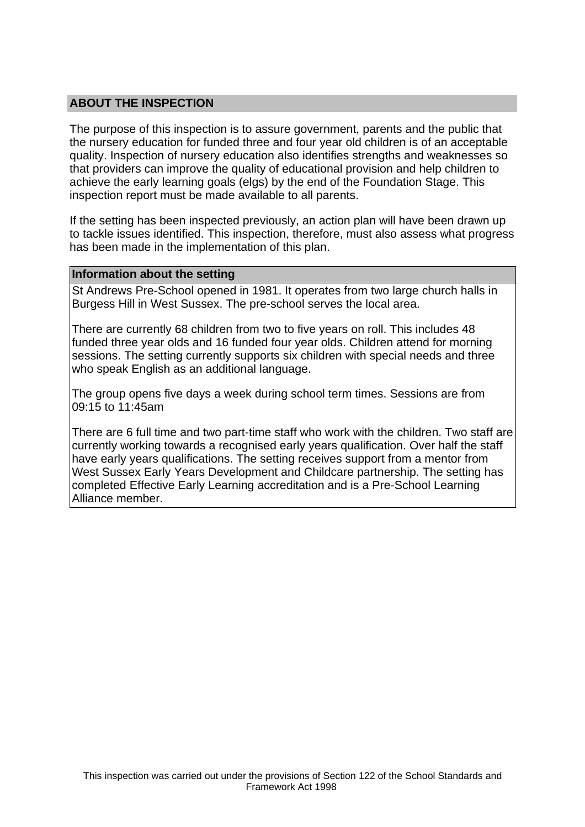### **ABOUT THE INSPECTION**

The purpose of this inspection is to assure government, parents and the public that the nursery education for funded three and four year old children is of an acceptable quality. Inspection of nursery education also identifies strengths and weaknesses so that providers can improve the quality of educational provision and help children to achieve the early learning goals (elgs) by the end of the Foundation Stage. This inspection report must be made available to all parents.

If the setting has been inspected previously, an action plan will have been drawn up to tackle issues identified. This inspection, therefore, must also assess what progress has been made in the implementation of this plan.

#### **Information about the setting**

St Andrews Pre-School opened in 1981. It operates from two large church halls in Burgess Hill in West Sussex. The pre-school serves the local area.

There are currently 68 children from two to five years on roll. This includes 48 funded three year olds and 16 funded four year olds. Children attend for morning sessions. The setting currently supports six children with special needs and three who speak English as an additional language.

The group opens five days a week during school term times. Sessions are from 09:15 to 11:45am

There are 6 full time and two part-time staff who work with the children. Two staff are currently working towards a recognised early years qualification. Over half the staff have early years qualifications. The setting receives support from a mentor from West Sussex Early Years Development and Childcare partnership. The setting has completed Effective Early Learning accreditation and is a Pre-School Learning Alliance member.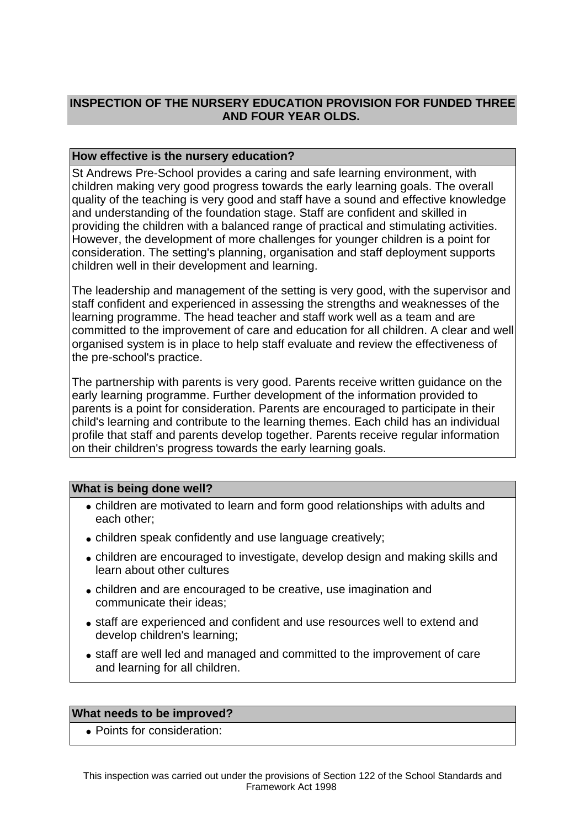# **INSPECTION OF THE NURSERY EDUCATION PROVISION FOR FUNDED THREE AND FOUR YEAR OLDS.**

## **How effective is the nursery education?**

St Andrews Pre-School provides a caring and safe learning environment, with children making very good progress towards the early learning goals. The overall quality of the teaching is very good and staff have a sound and effective knowledge and understanding of the foundation stage. Staff are confident and skilled in providing the children with a balanced range of practical and stimulating activities. However, the development of more challenges for younger children is a point for consideration. The setting's planning, organisation and staff deployment supports children well in their development and learning.

The leadership and management of the setting is very good, with the supervisor and staff confident and experienced in assessing the strengths and weaknesses of the learning programme. The head teacher and staff work well as a team and are committed to the improvement of care and education for all children. A clear and well organised system is in place to help staff evaluate and review the effectiveness of the pre-school's practice.

The partnership with parents is very good. Parents receive written guidance on the early learning programme. Further development of the information provided to parents is a point for consideration. Parents are encouraged to participate in their child's learning and contribute to the learning themes. Each child has an individual profile that staff and parents develop together. Parents receive regular information on their children's progress towards the early learning goals.

#### **What is being done well?**

- children are motivated to learn and form good relationships with adults and each other;
- children speak confidently and use language creatively;
- children are encouraged to investigate, develop design and making skills and learn about other cultures
- children and are encouraged to be creative, use imagination and communicate their ideas;
- staff are experienced and confident and use resources well to extend and develop children's learning;
- staff are well led and managed and committed to the improvement of care and learning for all children.

#### **What needs to be improved?**

• Points for consideration: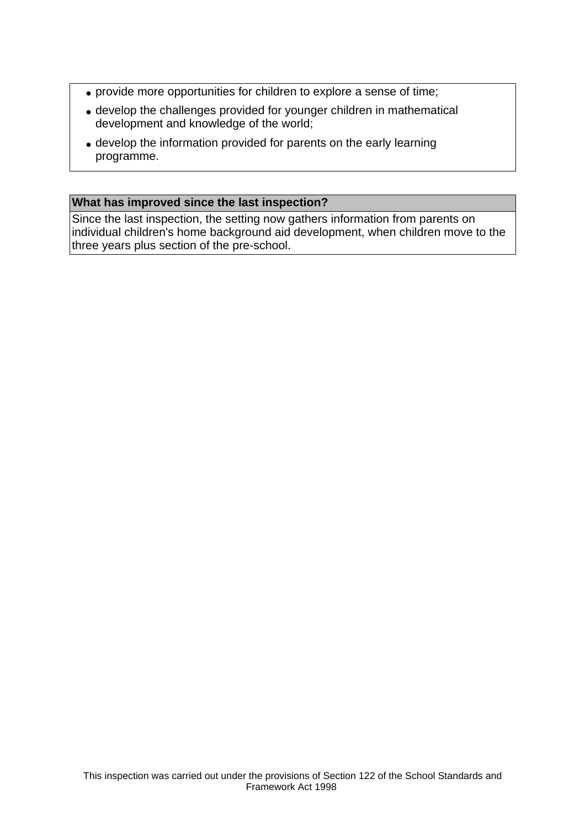- provide more opportunities for children to explore a sense of time;
- develop the challenges provided for younger children in mathematical development and knowledge of the world;
- develop the information provided for parents on the early learning programme.

# **What has improved since the last inspection?**

Since the last inspection, the setting now gathers information from parents on individual children's home background aid development, when children move to the three years plus section of the pre-school.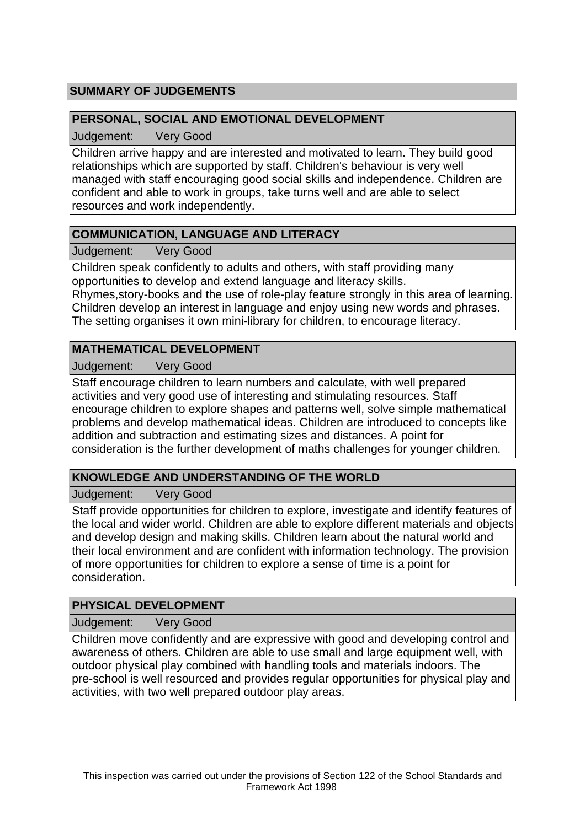# **SUMMARY OF JUDGEMENTS**

## **PERSONAL, SOCIAL AND EMOTIONAL DEVELOPMENT**

Judgement: Very Good

Children arrive happy and are interested and motivated to learn. They build good relationships which are supported by staff. Children's behaviour is very well managed with staff encouraging good social skills and independence. Children are confident and able to work in groups, take turns well and are able to select resources and work independently.

# **COMMUNICATION, LANGUAGE AND LITERACY**

Judgement: Very Good

Children speak confidently to adults and others, with staff providing many opportunities to develop and extend language and literacy skills.

Rhymes,story-books and the use of role-play feature strongly in this area of learning. Children develop an interest in language and enjoy using new words and phrases. The setting organises it own mini-library for children, to encourage literacy.

# **MATHEMATICAL DEVELOPMENT**

Judgement: Very Good

Staff encourage children to learn numbers and calculate, with well prepared activities and very good use of interesting and stimulating resources. Staff encourage children to explore shapes and patterns well, solve simple mathematical problems and develop mathematical ideas. Children are introduced to concepts like addition and subtraction and estimating sizes and distances. A point for consideration is the further development of maths challenges for younger children.

# **KNOWLEDGE AND UNDERSTANDING OF THE WORLD**

Judgement: Very Good

Staff provide opportunities for children to explore, investigate and identify features of the local and wider world. Children are able to explore different materials and objects and develop design and making skills. Children learn about the natural world and their local environment and are confident with information technology. The provision of more opportunities for children to explore a sense of time is a point for consideration.

# **PHYSICAL DEVELOPMENT**

Judgement: Very Good

Children move confidently and are expressive with good and developing control and awareness of others. Children are able to use small and large equipment well, with outdoor physical play combined with handling tools and materials indoors. The pre-school is well resourced and provides regular opportunities for physical play and activities, with two well prepared outdoor play areas.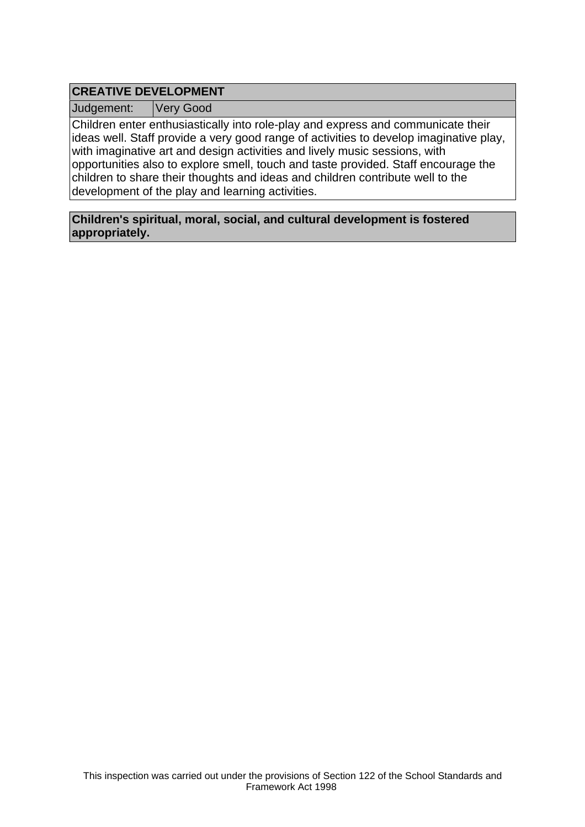# **CREATIVE DEVELOPMENT**

Judgement: Very Good

Children enter enthusiastically into role-play and express and communicate their ideas well. Staff provide a very good range of activities to develop imaginative play, with imaginative art and design activities and lively music sessions, with opportunities also to explore smell, touch and taste provided. Staff encourage the children to share their thoughts and ideas and children contribute well to the development of the play and learning activities.

**Children's spiritual, moral, social, and cultural development is fostered appropriately.**